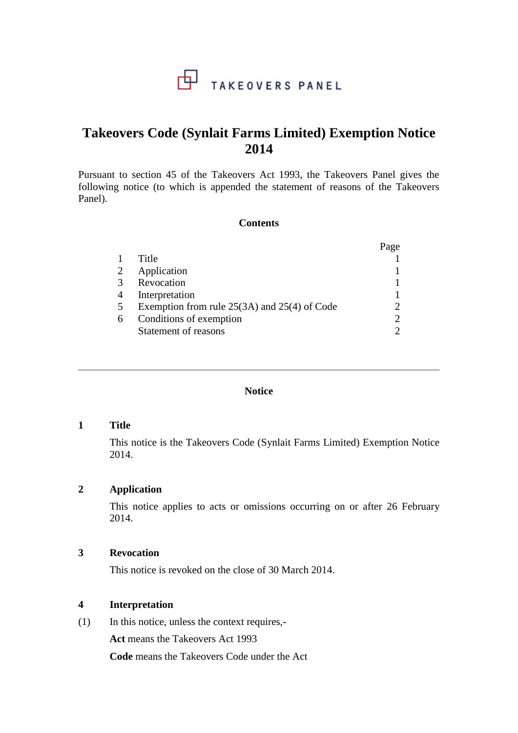## 中 TAKEOVERS PANEL

# **Takeovers Code (Synlait Farms Limited) Exemption Notice 2014**

Pursuant to section 45 of the Takeovers Act 1993, the Takeovers Panel gives the following notice (to which is appended the statement of reasons of the Takeovers Panel).

#### **Contents**

|                                                  | Page |
|--------------------------------------------------|------|
| Title                                            |      |
| Application                                      |      |
| Revocation                                       |      |
| Interpretation                                   |      |
| Exemption from rule $25(3A)$ and $25(4)$ of Code |      |
| Conditions of exemption                          | ∍    |
| Statement of reasons                             |      |
|                                                  |      |

#### **Notice**

## **1 Title**

This notice is the Takeovers Code (Synlait Farms Limited) Exemption Notice 2014.

#### **2 Application**

This notice applies to acts or omissions occurring on or after 26 February 2014.

## **3 Revocation**

This notice is revoked on the close of 30 March 2014.

## **4 Interpretation**

(1) In this notice, unless the context requires,-

**Act** means the Takeovers Act 1993

**Code** means the Takeovers Code under the Act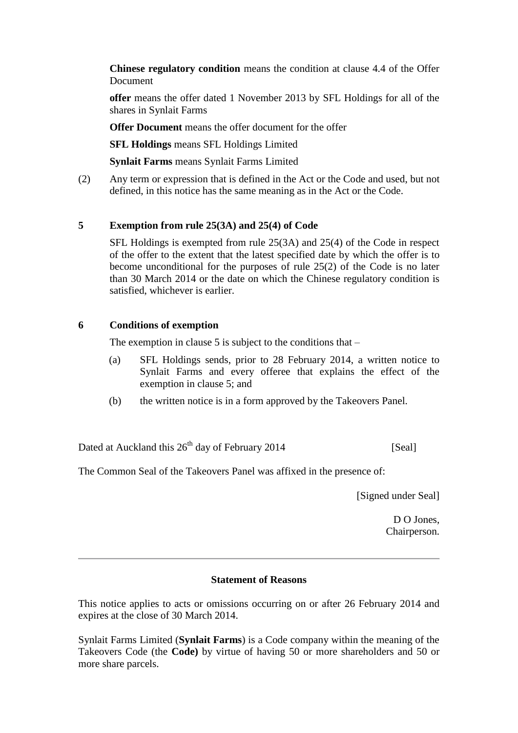**Chinese regulatory condition** means the condition at clause 4.4 of the Offer Document

**offer** means the offer dated 1 November 2013 by SFL Holdings for all of the shares in Synlait Farms

**Offer Document** means the offer document for the offer

**SFL Holdings** means SFL Holdings Limited

**Synlait Farms** means Synlait Farms Limited

(2) Any term or expression that is defined in the Act or the Code and used, but not defined, in this notice has the same meaning as in the Act or the Code.

## **5 Exemption from rule 25(3A) and 25(4) of Code**

SFL Holdings is exempted from rule 25(3A) and 25(4) of the Code in respect of the offer to the extent that the latest specified date by which the offer is to become unconditional for the purposes of rule 25(2) of the Code is no later than 30 March 2014 or the date on which the Chinese regulatory condition is satisfied, whichever is earlier.

## **6 Conditions of exemption**

The exemption in clause  $5$  is subject to the conditions that  $-$ 

- (a) SFL Holdings sends, prior to 28 February 2014, a written notice to Synlait Farms and every offeree that explains the effect of the exemption in clause 5; and
- (b) the written notice is in a form approved by the Takeovers Panel.

Dated at Auckland this  $26<sup>th</sup>$  day of February 2014 [Seal]

The Common Seal of the Takeovers Panel was affixed in the presence of:

[Signed under Seal]

D O Jones, Chairperson.

#### **Statement of Reasons**

This notice applies to acts or omissions occurring on or after 26 February 2014 and expires at the close of 30 March 2014.

Synlait Farms Limited (**Synlait Farms**) is a Code company within the meaning of the Takeovers Code (the **Code)** by virtue of having 50 or more shareholders and 50 or more share parcels.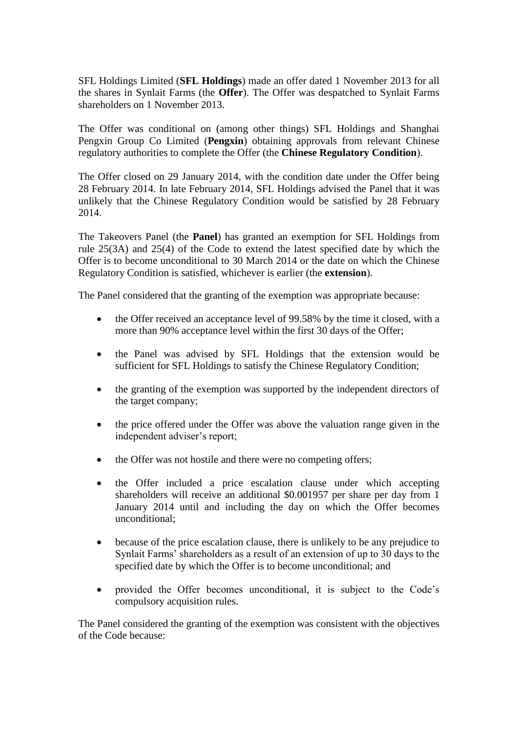SFL Holdings Limited (**SFL Holdings**) made an offer dated 1 November 2013 for all the shares in Synlait Farms (the **Offer**). The Offer was despatched to Synlait Farms shareholders on 1 November 2013.

The Offer was conditional on (among other things) SFL Holdings and Shanghai Pengxin Group Co Limited (**Pengxin**) obtaining approvals from relevant Chinese regulatory authorities to complete the Offer (the **Chinese Regulatory Condition**).

The Offer closed on 29 January 2014, with the condition date under the Offer being 28 February 2014. In late February 2014, SFL Holdings advised the Panel that it was unlikely that the Chinese Regulatory Condition would be satisfied by 28 February 2014.

The Takeovers Panel (the **Panel**) has granted an exemption for SFL Holdings from rule 25(3A) and 25(4) of the Code to extend the latest specified date by which the Offer is to become unconditional to 30 March 2014 or the date on which the Chinese Regulatory Condition is satisfied, whichever is earlier (the **extension**).

The Panel considered that the granting of the exemption was appropriate because:

- the Offer received an acceptance level of 99.58% by the time it closed, with a more than 90% acceptance level within the first 30 days of the Offer;
- the Panel was advised by SFL Holdings that the extension would be sufficient for SFL Holdings to satisfy the Chinese Regulatory Condition;
- the granting of the exemption was supported by the independent directors of the target company;
- the price offered under the Offer was above the valuation range given in the independent adviser's report;
- the Offer was not hostile and there were no competing offers;
- the Offer included a price escalation clause under which accepting shareholders will receive an additional \$0.001957 per share per day from 1 January 2014 until and including the day on which the Offer becomes unconditional;
- because of the price escalation clause, there is unlikely to be any prejudice to Synlait Farms' shareholders as a result of an extension of up to 30 days to the specified date by which the Offer is to become unconditional; and
- provided the Offer becomes unconditional, it is subject to the Code's compulsory acquisition rules.

The Panel considered the granting of the exemption was consistent with the objectives of the Code because: